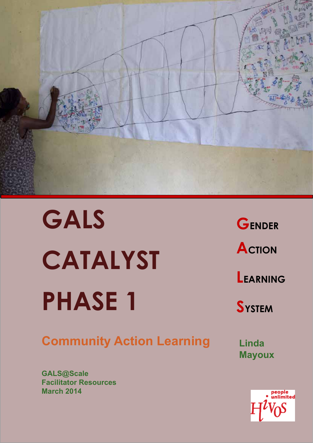

# **GALS CATALYST PHASE 1**

## **Community Action Learning**

**GALS@Scale Facilitator Resources March 2014**

**GENDER ACTION LEARNING SYSTEM**

**Linda Mayoux**

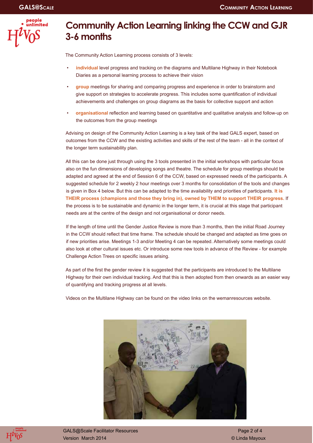

## **Community Action Learning linking the CCW and GJR 3-6 months**

The Community Action Learning process consists of 3 levels:

- **individual** level progress and tracking on the diagrams and Multilane Highway in their Notebook Diaries as a personal learning process to achieve their vision
- **group** meetings for sharing and comparing progress and experience in order to brainstorm and give support on strategies to accelerate progress. This includes some quantification of individual achievements and challenges on group diagrams as the basis for collective support and action
- **organisational** reflection and learning based on quantitative and qualitative analysis and follow-up on the outcomes from the group meetings

Advising on design of the Community Action Learning is a key task of the lead GALS expert, based on outcomes from the CCW and the existing activities and skills of the rest of the team - all in the context of the longer term sustainability plan.

All this can be done just through using the 3 tools presented in the initial workshops with particular focus also on the fun dimensions of developing songs and theatre. The schedule for group meetings should be adapted and agreed at the end of Session 6 of the CCW, based on expressed needs of the participants. A suggested schedule for 2 weekly 2 hour meetings over 3 months for consolidation of the tools and changes is given in Box 4 below. But this can be adapted to the time availability and priorities of participants. **It is THEIR process (champions and those they bring in), owned by THEM to support THEIR progress.** If the process is to be sustainable and dynamic in the longer term, it is crucial at this stage that participant needs are at the centre of the design and not organisational or donor needs.

If the length of time until the Gender Justice Review is more than 3 months, then the initial Road Journey in the CCW should reflect that time frame. The schedule should be changed and adapted as time goes on if new priorities arise. Meetings 1-3 and/or Meeting 4 can be repeated. Alternatively some meetings could also look at other cultural issues etc. Or introduce some new tools in advance of the Review - for example Challenge Action Trees on specific issues arising.

As part of the first the gender review it is suggested that the participants are introduced to the Multilane Highway for their own individual tracking. And that this is then adopted from then onwards as an easier way of quantifying and tracking progress at all levels.

Videos on the Multilane Highway can be found on the video links on the wemanresources website.





GALS@Scale Facilitator Resources **Page 2 of 4** and 2 of 4 Version March 2014 © Linda Mayoux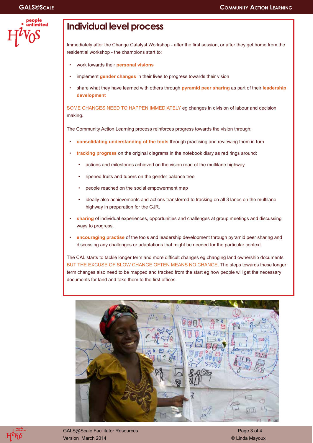|  | people<br>unlimite |  |
|--|--------------------|--|
|  |                    |  |
|  |                    |  |

## **Individual level process**

Immediately after the Change Catalyst Workshop - after the first session, or after they get home from the residential workshop - the champions start to:

- work towards their **personal visions**
- implement **gender changes** in their lives to progress towards their vision
- share what they have learned with others through **pyramid peer sharing** as part of their **leadership development**

SOME CHANGES NEED TO HAPPEN IMMEDIATELY eg changes in division of labour and decision making.

The Community Action Learning process reinforces progress towards the vision through:

- **consolidating understanding of the tools** through practising and reviewing them in turn
- **tracking progress** on the original diagrams in the notebook diary as red rings around:
	- actions and milestones achieved on the vision road of the multilane highway.
	- ripened fruits and tubers on the gender balance tree
	- people reached on the social empowerment map
	- ideally also achievements and actions transferred to tracking on all 3 lanes on the multilane highway in preparation for the GJR.
- **sharing** of individual experiences, opportunities and challenges at group meetings and discussing ways to progress.
- **encouraging practise** of the tools and leadership development through pyramid peer sharing and discussing any challenges or adaptations that might be needed for the particular context

The CAL starts to tackle longer term and more difficult changes eg changing land ownership documents BUT THE EXCUSE OF SLOW CHANGE OFTEN MEANS NO CHANGE. The steps towards these longer term changes also need to be mapped and tracked from the start eg how people will get the necessary documents for land and take them to the first offices.





GALS@Scale Facilitator Resources **Page 3 of 4** of 4 Version March 2014 © Linda Mayoux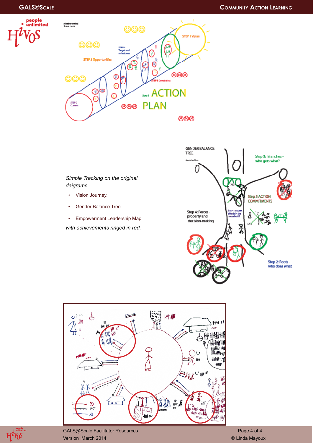



#### *Simple Tracking on the original daigrams*

- Vision Journey,
- Gender Balance Tree
- Empowerment Leadership Map

*with achievements ringed in red.*







GALS@Scale Facilitator Resources and Contract Contract Contract Page 4 of 4 Version March 2014 © Linda Mayoux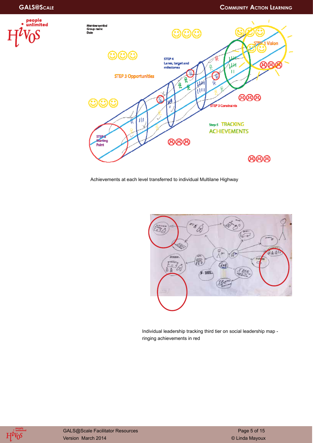



Achievements at each level transferred to individual Multilane Highway



Individual leadership tracking third tier on social leadership map ringing achievements in red

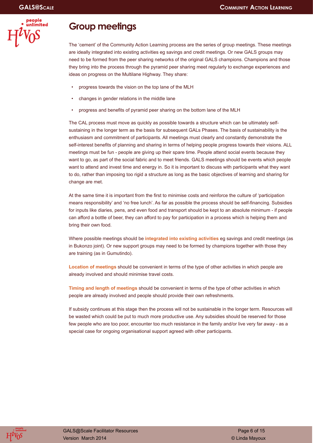

## **Group meetings**

The 'cement' of the Community Action Learning process are the series of group meetings. These meetings are ideally integrated into existing activities eg savings and credit meetings. Or new GALS groups may need to be formed from the peer sharing networks of the original GALS champions. Champions and those they bring into the process through the pyramid peer sharing meet regularly to exchange experiences and ideas on progress on the Multilane Highway. They share:

- progress towards the vision on the top lane of the MLH
- changes in gender relations in the middle lane
- progress and benefits of pyramid peer sharing on the bottom lane of the MLH

The CAL process must move as quickly as possible towards a structure which can be ultimately selfsustaining in the longer term as the basis for subsequent GALs Phases. The basis of sustainability is the enthusiasm and commitment of participants. All meetings must clearly and constantly demonstrate the self-interest benefits of planning and sharing in terms of helping people progress towards their visions. ALL meetings must be fun - people are giving up their spare time. People attend social events because they want to go, as part of the social fabric and to meet friends. GALS meetings should be events which people want to attend and invest time and energy in. So it is important to discuss with participants what they want to do, rather than imposing too rigid a structure as long as the basic objectives of learning and sharing for change are met.

At the same time it is important from the first to minimise costs and reinforce the culture of 'participation means responsibility' and 'no free lunch'. As far as possible the process should be self-financing. Subsidies for inputs like diaries, pens, and even food and transport should be kept to an absolute minimum - if people can afford a bottle of beer, they can afford to pay for participation in a process which is helping them and bring their own food.

Where possible meetings should be **integrated into existing activities** eg savings and credit meetings (as in Bukonzo joint). Or new support groups may need to be formed by champions together with those they are training (as in Gumutindo).

**Location of meetings** should be convenient in terms of the type of other activities in which people are already involved and should minimise travel costs.

**Timing and length of meetings** should be convenient in terms of the type of other activities in which people are already involved and people should provide their own refreshments.

If subsidy continues at this stage then the process will not be sustainable in the longer term. Resources will be wasted which could be put to much more productive use. Any subsidies should be reserved for those few people who are too poor, encounter too much resistance in the family and/or live very far away - as a special case for ongoing organisational support agreed with other participants.

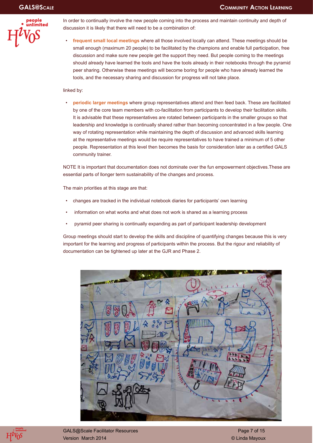

In order to continually involve the new people coming into the process and maintain continuity and depth of discussion it is likely that there will need to be a combination of:

• **frequent small local meetings** where all those involved locally can attend. These meetings should be small enough (maximum 20 people) to be facilitated by the champions and enable full participation, free discussion and make sure new people get the support they need. But people coming to the meetings should already have learned the tools and have the tools already in their notebooks through the pyramid peer sharing. Otherwise these meetings will become boring for people who have already learned the tools, and the necessary sharing and discussion for progress will not take place.

#### linked by:

• **periodic larger meetings** where group representatives attend and then feed back. These are facilitated by one of the core team members with co-facilitation from participants to develop their facilitation skills. It is advisable that these representatives are rotated between participants in the smaller groups so that leadership and knowledge is continually shared rather than becoming concentrated in a few people. One way of rotating representation while maintaining the depth of discussion and advanced skills learning at the representative meetings would be require representatives to have trained a minimum of 5 other people. Representation at this level then becomes the basis for consideration later as a certified GALS community trainer.

NOTE It is important that documentation does not dominate over the fun empowerment objectives.These are essential parts of llonger term sustainability of the changes and process.

The main priorities at this stage are that:

- changes are tracked in the individual notebook diaries for participants' own learning
- information on what works and what does not work is shared as a learning process
- pyramid peer sharing is continually expanding as part of participant leadership development

Group meetings should start to develop the skills and discipline of quantifying changes because this is very important for the learning and progress of participants within the process. But the rigour and reliability of documentation can be tightened up later at the GJR and Phase 2.





GALS@Scale Facilitator Resources **Page 7 of 15** and 20 and 20 and 20 and 20 and 20 and 20 and 20 and 20 and 20 and 20 and 20 and 20 and 20 and 20 and 20 and 20 and 20 and 20 and 20 and 20 and 20 and 20 and 20 and 20 and 20 Version March 2014 © Linda Mayoux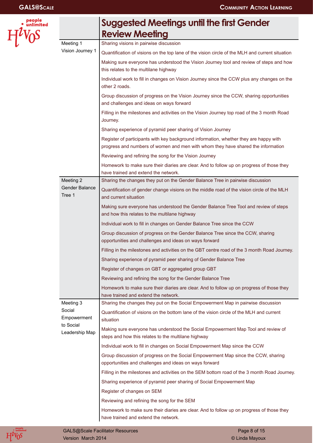people<br>a unlimited

 $H^i$ 

|                                                      | <b>Suggested Meetings until the first Gender</b>                                                                                                                          |
|------------------------------------------------------|---------------------------------------------------------------------------------------------------------------------------------------------------------------------------|
|                                                      | <b>Review Meeting</b>                                                                                                                                                     |
| Meeting 1                                            | Sharing visions in pairwise discussion                                                                                                                                    |
| Vision Journey 1                                     | Quantification of visions on the top lane of the vision circle of the MLH and current situation                                                                           |
|                                                      | Making sure everyone has understood the Vision Journey tool and review of steps and how<br>this relates to the multilane highway                                          |
|                                                      | Individual work to fill in changes on Vision Journey since the CCW plus any changes on the<br>other 2 roads.                                                              |
|                                                      | Group discussion of progress on the Vision Journey since the CCW, sharing opportunities<br>and challenges and ideas on ways forward                                       |
|                                                      | Filling in the milestones and activities on the Vision Journey top road of the 3 month Road<br>Journey.                                                                   |
|                                                      | Sharing experience of pyramid peer sharing of Vision Journey                                                                                                              |
|                                                      | Register of participants with key background information, whether they are happy with<br>progress and numbers of women and men with whom they have shared the information |
|                                                      | Reviewing and refining the song for the Vision Journey                                                                                                                    |
|                                                      | Homework to make sure their diaries are clear. And to follow up on progress of those they<br>have trained and extend the network.                                         |
| Meeting 2                                            | Sharing the changes they put on the Gender Balance Tree in pairwise discussion                                                                                            |
| Gender Balance<br>Tree 1                             | Quantification of gender change visions on the middle road of the vision circle of the MLH<br>and current situation                                                       |
|                                                      | Making sure everyone has understood the Gender Balance Tree Tool and review of steps<br>and how this relates to the multilane highway                                     |
|                                                      | Individual work to fill in changes on Gender Balance Tree since the CCW                                                                                                   |
|                                                      | Group discussion of progress on the Gender Balance Tree since the CCW, sharing<br>opportunities and challenges and ideas on ways forward                                  |
|                                                      | Filling in the milestones and activities on the GBT centre road of the 3 month Road Journey.                                                                              |
|                                                      | Sharing experience of pyramid peer sharing of Gender Balance Tree                                                                                                         |
|                                                      | Register of changes on GBT or aggregated group GBT                                                                                                                        |
|                                                      | Reviewing and refining the song for the Gender Balance Tree                                                                                                               |
|                                                      | Homework to make sure their diaries are clear. And to follow up on progress of those they<br>have trained and extend the network.                                         |
| Meeting 3                                            | Sharing the changes they put on the Social Empowerment Map in pairwise discussion                                                                                         |
| Social<br>Empowerment<br>to Social<br>Leadership Map | Quantification of visions on the bottom lane of the vision circle of the MLH and current<br>situation                                                                     |
|                                                      | Making sure everyone has understood the Social Empowerment Map Tool and review of<br>steps and how this relates to the multilane highway                                  |
|                                                      | Individual work to fill in changes on Social Empowerment Map since the CCW                                                                                                |
|                                                      | Group discussion of progress on the Social Empowerment Map since the CCW, sharing<br>opportunities and challenges and ideas on ways forward                               |
|                                                      | Filling in the milestones and activities on the SEM bottom road of the 3 month Road Journey.                                                                              |
|                                                      | Sharing experience of pyramid peer sharing of Social Empowerment Map                                                                                                      |
|                                                      | Register of changes on SEM                                                                                                                                                |
|                                                      | Reviewing and refining the song for the SEM                                                                                                                               |
|                                                      | Homework to make sure their diaries are clear. And to follow up on progress of those they<br>have trained and extend the network.                                         |

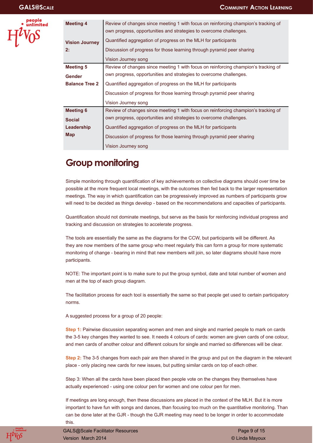

| <b>Meeting 4</b>            | Review of changes since meeting 1 with focus on reinforcing champion's tracking of<br>own progress, opportunities and strategies to overcome challenges. |  |  |  |  |
|-----------------------------|----------------------------------------------------------------------------------------------------------------------------------------------------------|--|--|--|--|
| <b>Vision Journey</b><br>2: | Quantified aggregation of progress on the MLH for participants                                                                                           |  |  |  |  |
|                             | Discussion of progress for those learning through pyramid peer sharing                                                                                   |  |  |  |  |
|                             | Vision Journey song                                                                                                                                      |  |  |  |  |
| <b>Meeting 5</b>            | Review of changes since meeting 1 with focus on reinforcing champion's tracking of                                                                       |  |  |  |  |
| <b>Gender</b>               | own progress, opportunities and strategies to overcome challenges.                                                                                       |  |  |  |  |
| <b>Balance Tree 2</b>       | Quantified aggregation of progress on the MLH for participants                                                                                           |  |  |  |  |
|                             | Discussion of progress for those learning through pyramid peer sharing                                                                                   |  |  |  |  |
|                             | Vision Journey song                                                                                                                                      |  |  |  |  |
| <b>Meeting 6</b>            | Review of changes since meeting 1 with focus on reinforcing champion's tracking of                                                                       |  |  |  |  |
| <b>Social</b>               | own progress, opportunities and strategies to overcome challenges.                                                                                       |  |  |  |  |
| Leadership                  | Quantified aggregation of progress on the MLH for participants                                                                                           |  |  |  |  |
| Map                         | Discussion of progress for those learning through pyramid peer sharing                                                                                   |  |  |  |  |
|                             | Vision Journey song                                                                                                                                      |  |  |  |  |

## **Group monitoring**

Simple monitoring through quantification of key achievements on collective diagrams should over time be possible at the more frequent local meetings, with the outcomes then fed back to the larger representation meetings. The way in which quantification can be progressively improved as numbers of participants grow will need to be decided as things develop - based on the recommendations and capacities of participants.

Quantification should not dominate meetings, but serve as the basis for reinforcing individual progress and tracking and discussion on strategies to accelerate progress.

The tools are essentially the same as the diagrams for the CCW, but participants will be different. As they are now members of the same group who meet regularly this can form a group for more systematic monitoring of change - bearing in mind that new members will join, so later diagrams should have more participants.

NOTE: The important point is to make sure to put the group symbol, date and total number of women and men at the top of each group diagram.

The facilitation process for each tool is essentially the same so that people get used to certain participatory norms.

A suggested process for a group of 20 people:

**Step 1:** Pairwise discussion separating women and men and single and married people to mark on cards the 3-5 key changes they wanted to see. It needs 4 colours of cards: women are given cards of one colour, and men cards of another colour and different colours for single and married so differences will be clear.

**Step 2:** The 3-5 changes from each pair are then shared in the group and put on the diagram in the relevant place - only placing new cards for new issues, but putting similar cards on top of each other.

Step 3: When all the cards have been placed then people vote on the changes they themselves have actually experienced - using one colour pen for women and one colour pen for men.

If meetings are long enough, then these discussions are placed in the context of the MLH. But it is more important to have fun with songs and dances, than focusing too much on the quantitative monitoring. Than can be done later at the GJR - though the GJR meeting may need to be longer in order to accommodate this.



GALS@Scale Facilitator Resources **Page 9 of 15** of 15 Version March 2014 © Linda Mayoux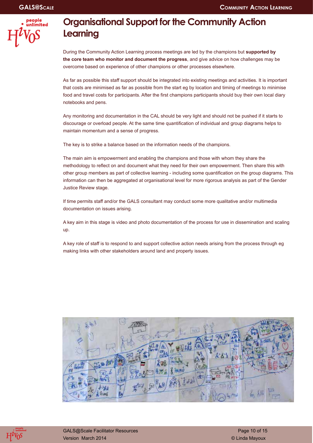

## **Organisational Support for the Community Action Learning**

During the Community Action Learning process meetings are led by the champions but **supported by the core team who monitor and document the progress**, and give advice on how challenges may be overcome based on experience of other champions or other processes elsewhere.

As far as possible this staff support should be integrated into existing meetings and activities. It is important that costs are minimised as far as possible from the start eg by location and timing of meetings to minimise food and travel costs for participants. After the first champions participants should buy their own local diary notebooks and pens.

Any monitoring and documentation in the CAL should be very light and should not be pushed if it starts to discourage or overload people. At the same time quantification of individual and group diagrams helps to maintain momentum and a sense of progress.

The key is to strike a balance based on the information needs of the champions.

The main aim is empowerment and enabling the champions and those with whom they share the methodology to reflect on and document what they need for their own empowerment. Then share this with other group members as part of collective learning - including some quantification on the group diagrams. This information can then be aggregated at organisational level for more rigorous analysis as part of the Gender Justice Review stage.

If time permits staff and/or the GALS consultant may conduct some more qualitative and/or multimedia documentation on issues arising.

A key aim in this stage is video and photo documentation of the process for use in dissemination and scaling up.

A key role of staff is to respond to and support collective action needs arising from the process through eg making links with other stakeholders around land and property issues.



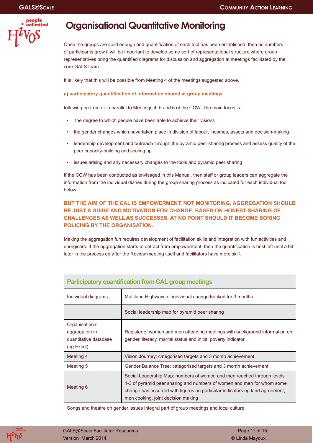

## **Organisational Quantitative Monitoring**

Once the groups are solid enough and quantification of each tool has been established, then as numbers of participants grow it will be important to develop some sort of representational structure where group representatives bring the quantified diagrams for discussion and aggregation at meetings facilitated by the core GALS team.

It is likely that this will be possible from Meeting 4 of the meetings suggested above.

#### a) **participatory quantification of information shared at group meetings**

following on from or in parallel to Meetings 4, 5 and 6 of the CCW. The main focus is:

- the degree to which people have been able to achieve their visions
- the gender changes which have taken place in division of labour, incomes, assets and decision-making
- leadership development and outreach through the pyramid peer sharing process and assess quality of the peer capacity-building and scaling up
- issues arising and any necessary changes to the tools and pyramid peer sharing

If the CCW has been conducted as envisaged in this Manual, then staff or group leaders can aggregate the information from the individual diaries during the group sharing process as indicated for each individual tool below.

#### **BUT THE AIM OF THE CAL IS EMPOWERMENT, NOT MONITORING. AGGREGATION SHOULD BE JUST A GUIDE AND MOTIVATION FOR CHANGE, BASED ON HONEST SHARING OF CHALLENGES AS WELL AS SUCCESSES. AT NO POINT SHOULD IT BECOME BORING POLICING BY THE ORGANISATION.**

Making the aggregation fun requires development of facilitation skills and integration with fun activities and energisers. If the aggregation starts to detract from empowerment, then the quantification is best left until a bit later in the process eg after the Review meeting itself and facilitators have more skill.

| Individual diagrams                                                     | Multilane Highways of individual change tracked for 3 months                                                                                                                                                                                                           |
|-------------------------------------------------------------------------|------------------------------------------------------------------------------------------------------------------------------------------------------------------------------------------------------------------------------------------------------------------------|
|                                                                         | Social leadership map for pyramid peer sharing                                                                                                                                                                                                                         |
| Organisational<br>aggregation in<br>quantitative database<br>(eg Excel) | Register of women and men attending meetings with background information on<br>gender, literacy, marital status and initial poverty indicator                                                                                                                          |
| Meeting 4                                                               | Vision Journey: categorised targets and 3 month achievement                                                                                                                                                                                                            |
| Meeting 5                                                               | Gender Balance Tree: categorised targets and 3 month achievement                                                                                                                                                                                                       |
| Meeting 6                                                               | Social Leadership Map: numbers of women and men reached through levels<br>1-3 of pyramid peer sharing and numbers of women and men for whom some<br>change has occurred with figures on particular indicators eg land agreement,<br>men cooking, joint decision making |

#### **Participatory quantification from CAL group meetings**

Songs and theatre on gender issues integral part of group meetings and local culture

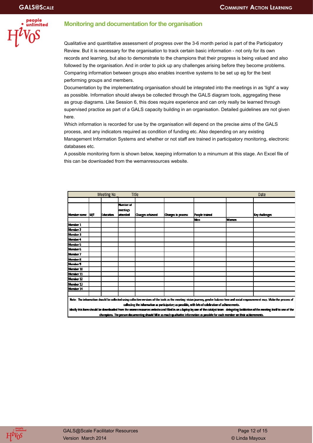

#### **Monitoring and documentation for the organisation**

Qualitative and quantitative assessment of progress over the 3-6 month period is part of the Participatory Review. But it is necessary for the organisation to track certain basic information - not only for its own records and learning, but also to demonstrate to the champions that their progress is being valued and also followed by the organisation. And in order to pick up any challenges arising before they become problems. Comparing information between groups also enables incentive systems to be set up eg for the best performing groups and members.

Documentation by the implementating organisation should be integrated into the meetings in as 'light' a way as possible. Information should always be collected through the GALS diagram tools, aggregating these as group diagrams. Like Session 6, this does require experience and can only really be learned through supervised practice as part of a GALS capacity building in an organisation. Detailed guidelines are not given here.

Which information is recorded for use by the organisation will depend on the precise aims of the GALS process, and any indicators required as condition of funding etc. Also depending on any existing Management Information Systems and whether or not staff are trained in participatory monitoring, electronic databases etc.

A possible monitoring form is shown below, keeping information to a minumum at this stage. An Excel file of this can be downloaded from the wemanresources website.

| Title<br><b>Meeting No</b><br>Date                                                                                                                                                         |           |           |           |                  |                    |                |       |                |
|--------------------------------------------------------------------------------------------------------------------------------------------------------------------------------------------|-----------|-----------|-----------|------------------|--------------------|----------------|-------|----------------|
|                                                                                                                                                                                            |           |           |           |                  |                    |                |       |                |
|                                                                                                                                                                                            |           |           | Number of |                  |                    |                |       |                |
|                                                                                                                                                                                            |           |           | meetings  |                  |                    |                |       |                |
| Member name                                                                                                                                                                                | <b>MÆ</b> | Education | lattended | Changes achieved | Changes in process | People trained |       | Key challenges |
|                                                                                                                                                                                            |           |           |           |                  |                    | <b>Men</b>     | Women |                |
| Member 1                                                                                                                                                                                   |           |           |           |                  |                    |                |       |                |
| Member 2                                                                                                                                                                                   |           |           |           |                  |                    |                |       |                |
| Member 3                                                                                                                                                                                   |           |           |           |                  |                    |                |       |                |
| Member 4                                                                                                                                                                                   |           |           |           |                  |                    |                |       |                |
| Member 5                                                                                                                                                                                   |           |           |           |                  |                    |                |       |                |
| Member 6                                                                                                                                                                                   |           |           |           |                  |                    |                |       |                |
| Member 7                                                                                                                                                                                   |           |           |           |                  |                    |                |       |                |
| Member 8                                                                                                                                                                                   |           |           |           |                  |                    |                |       |                |
| Member 9                                                                                                                                                                                   |           |           |           |                  |                    |                |       |                |
| Member 10                                                                                                                                                                                  |           |           |           |                  |                    |                |       |                |
| Member 11                                                                                                                                                                                  |           |           |           |                  |                    |                |       |                |
| Member 12                                                                                                                                                                                  |           |           |           |                  |                    |                |       |                |
| Member 13                                                                                                                                                                                  |           |           |           |                  |                    |                |       |                |
| Member 14                                                                                                                                                                                  |           |           |           |                  |                    |                |       |                |
|                                                                                                                                                                                            |           |           |           |                  |                    |                |       |                |
| Note: The information should be collected using collective versions of the took as the meeting; vision journey, gender balance tree and social empowerment map. Make the process of        |           |           |           |                  |                    |                |       |                |
| collecting the information as participatory as possible, with lots of celebration of achievements.                                                                                         |           |           |           |                  |                    |                |       |                |
| ideally this form should be downloaded from the womenresources website and filled in on a laptop by one of the catalyst team - delegating facilitation of the meeting itself to one of the |           |           |           |                  |                    |                |       |                |
| champions. The person documenting should fill in as much qualitative information as possible for each member on their achievements.                                                        |           |           |           |                  |                    |                |       |                |

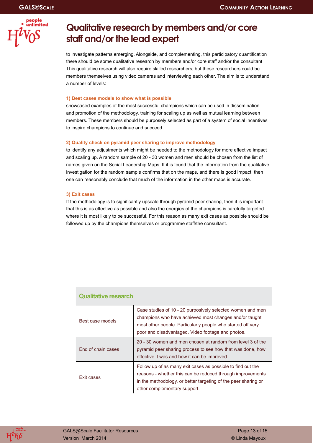

## **Qualitative research by members and/or core staff and/or the lead expert**

to investigate patterns emerging. Alongside, and complementing, this participatory quantification there should be some qualitative research by members and/or core staff and/or the consultant This qualitative research will also require skilled researchers, but these researchers could be members themselves using video cameras and interviewing each other. The aim is to understand a number of levels:

#### **1) Best cases models to show what is possible**

showcased examples of the most successful champions which can be used in dissemination and promotion of the methodology, training for scaling up as well as mutual learning between members. These members should be purposely selected as part of a system of social incentives to inspire champions to continue and succeed.

#### **2) Quality check on pyramid peer sharing to improve methodology**

to identify any adjustments which might be needed to the methodology for more effective impact and scaling up. A random sample of 20 - 30 women and men should be chosen from the list of names given on the Social Leadership Maps. If it is found that the information from the qualitative investigation for the random sample confirms that on the maps, and there is good impact, then one can reasonably conclude that much of the information in the other maps is accurate.

#### **3) Exit cases**

If the methodology is to significantly upscale through pyramid peer sharing, then it is important that this is as effective as possible and also the energies of the champions is carefully targeted where it is most likely to be successful. For this reason as many exit cases as possible should be followed up by the champions themselves or programme staff/the consultant.

| <b>Qualitative research</b> |                                                                                                                                                                                                                                          |  |  |  |
|-----------------------------|------------------------------------------------------------------------------------------------------------------------------------------------------------------------------------------------------------------------------------------|--|--|--|
| Best case models            | Case studies of 10 - 20 purposively selected women and men<br>champions who have achieved most changes and/or taught<br>most other people. Particularly people who started off very<br>poor and disadvantaged. Video footage and photos. |  |  |  |
| End of chain cases          | 20 - 30 women and men chosen at random from level 3 of the<br>pyramid peer sharing process to see how that was done, how<br>effective it was and how it can be improved.                                                                 |  |  |  |
| Exit cases                  | Follow up of as many exit cases as possible to find out the<br>reasons - whether this can be reduced through improvements<br>in the methodology, or better targeting of the peer sharing or<br>other complementary support.              |  |  |  |

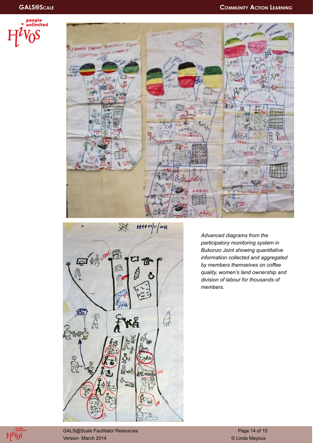





*Advanced diagrams from the participatory monitoring system in Bukonzo Joint showing quantitative information collected and aggregated by members themselves on coffee quality, women's land ownership and division of labour for thousands of members.*



GALS@Scale Facilitator Resources and Contract Contract Contract Contract Page 14 of 15 Version March 2014 © Linda Mayoux